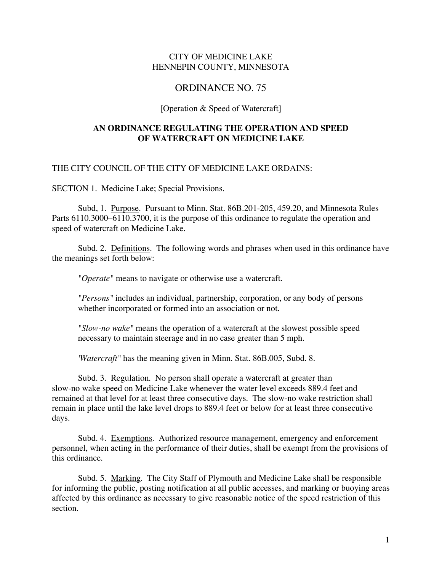## CITY OF MEDICINE LAKE HENNEPIN COUNTY, MINNESOTA

## ORDINANCE NO. 75

#### [Operation & Speed of Watercraft]

### **AN ORDINANCE REGULATING THE OPERATION AND SPEED OF WATERCRAFT ON MEDICINE LAKE**

#### THE CITY COUNCIL OF THE CITY OF MEDICINE LAKE ORDAINS:

SECTION 1.Medicine Lake; Special Provisions.

Subd, 1. Purpose. Pursuant to Minn. Stat. 86B.201-205, 459.20, and Minnesota Rules Parts 6110.3000–6110.3700, it is the purpose of this ordinance to regulate the operation and speed of watercraft on Medicine Lake.

Subd. 2. Definitions. The following words and phrases when used in this ordinance have the meanings set forth below:

*"Operate"* means to navigate or otherwise use a watercraft.

*"Persons"* includes an individual, partnership, corporation, or any body of persons whether incorporated or formed into an association or not.

*"Slow-no wake"* means the operation of a watercraft at the slowest possible speed necessary to maintain steerage and in no case greater than 5 mph.

*'Watercraft"* has the meaning given in Minn. Stat. 86B.005, Subd. 8.

Subd. 3. Regulation. No person shall operate a watercraft at greater than slow-no wake speed on Medicine Lake whenever the water level exceeds 889.4 feet and remained at that level for at least three consecutive days. The slow-no wake restriction shall remain in place until the lake level drops to 889.4 feet or below for at least three consecutive days.

Subd. 4. Exemptions. Authorized resource management, emergency and enforcement personnel, when acting in the performance of their duties, shall be exempt from the provisions of this ordinance.

Subd. 5. Marking. The City Staff of Plymouth and Medicine Lake shall be responsible for informing the public, posting notification at all public accesses, and marking or buoying areas affected by this ordinance as necessary to give reasonable notice of the speed restriction of this section.